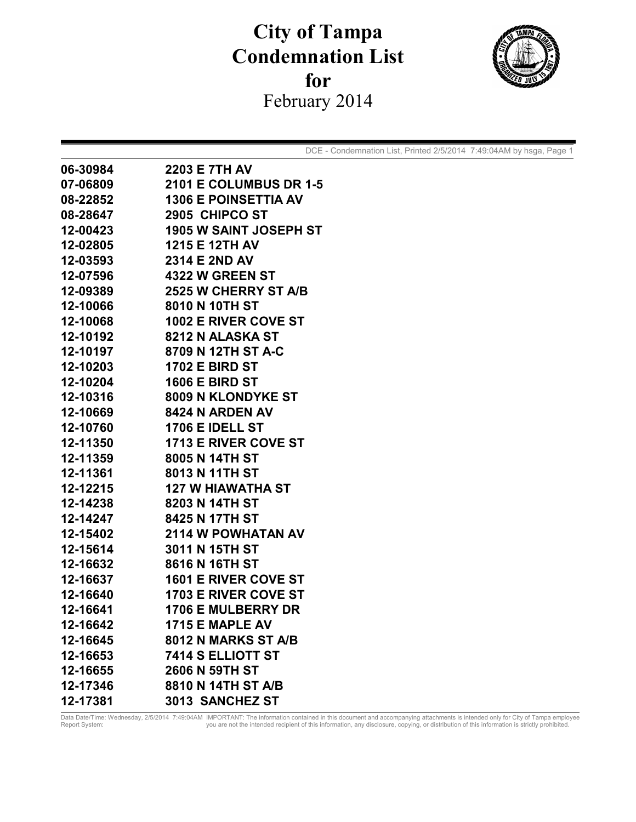## **City of Tampa Condemnation List**  for February 2014



DCE - Condemnation List, Printed 2/5/2014 7:49:04AM by hsga, Page 1

| 06-30984 | <b>2203 E 7TH AV</b>          |
|----------|-------------------------------|
| 07-06809 | <b>2101 E COLUMBUS DR 1-5</b> |
| 08-22852 | <b>1306 E POINSETTIA AV</b>   |
| 08-28647 | 2905 CHIPCO ST                |
| 12-00423 | <b>1905 W SAINT JOSEPH ST</b> |
| 12-02805 | 1215 E 12TH AV                |
| 12-03593 | 2314 E 2ND AV                 |
| 12-07596 | <b>4322 W GREEN ST</b>        |
| 12-09389 | 2525 W CHERRY ST A/B          |
| 12-10066 | 8010 N 10TH ST                |
| 12-10068 | <b>1002 E RIVER COVE ST</b>   |
| 12-10192 | 8212 N ALASKA ST              |
| 12-10197 | 8709 N 12TH ST A-C            |
| 12-10203 | <b>1702 E BIRD ST</b>         |
| 12-10204 | <b>1606 E BIRD ST</b>         |
| 12-10316 | 8009 N KLONDYKE ST            |
| 12-10669 | <b>8424 N ARDEN AV</b>        |
| 12-10760 | <b>1706 E IDELL ST</b>        |
| 12-11350 | <b>1713 E RIVER COVE ST</b>   |
| 12-11359 | 8005 N 14TH ST                |
| 12-11361 | 8013 N 11TH ST                |
| 12-12215 | <b>127 W HIAWATHA ST</b>      |
| 12-14238 | 8203 N 14TH ST                |
| 12-14247 | 8425 N 17TH ST                |
| 12-15402 | 2114 W POWHATAN AV            |
| 12-15614 | 3011 N 15TH ST                |
| 12-16632 | 8616 N 16TH ST                |
| 12-16637 | <b>1601 E RIVER COVE ST</b>   |
| 12-16640 | <b>1703 E RIVER COVE ST</b>   |
| 12-16641 | <b>1706 E MULBERRY DR</b>     |
| 12-16642 | 1715 E MAPLE AV               |
| 12-16645 | 8012 N MARKS ST A/B           |
| 12-16653 | 7414 S ELLIOTT ST             |
| 12-16655 | 2606 N 59TH ST                |
| 12-17346 | 8810 N 14TH ST A/B            |
| 12-17381 | 3013 SANCHEZ ST               |

Data Date/Time: Wednesday, 2/5/2014 7:49:04AM IMPORTANT: The information contained in this document and accompanying attachments is intended only for City of Tampa employee<br>Report System: Wednesday, 2/5/2014 7:49:04 you ar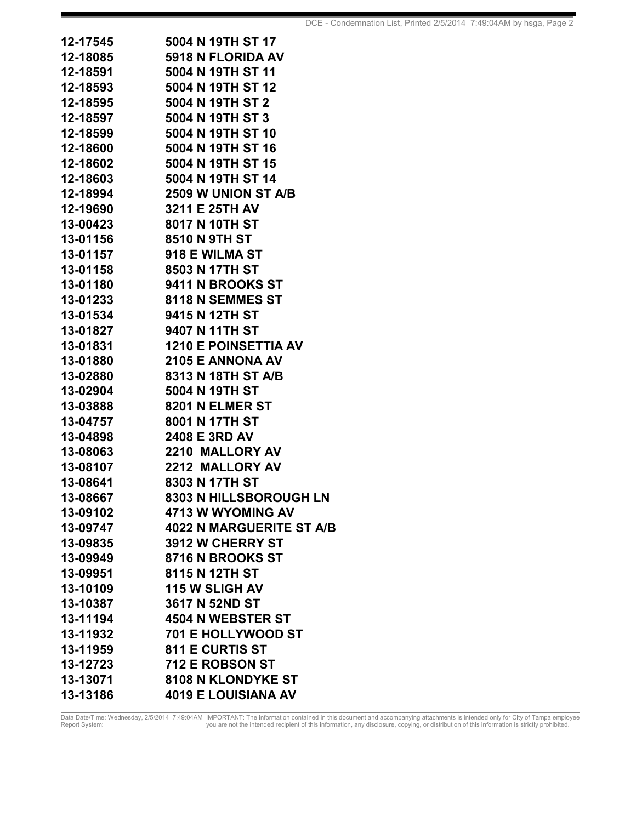| 12-17545 | 5004 N 19TH ST 17               |
|----------|---------------------------------|
| 12-18085 | 5918 N FLORIDA AV               |
| 12-18591 | 5004 N 19TH ST 11               |
| 12-18593 | 5004 N 19TH ST 12               |
| 12-18595 | 5004 N 19TH ST 2                |
| 12-18597 | 5004 N 19TH ST 3                |
| 12-18599 | 5004 N 19TH ST 10               |
| 12-18600 | 5004 N 19TH ST 16               |
| 12-18602 | 5004 N 19TH ST 15               |
| 12-18603 | 5004 N 19TH ST 14               |
| 12-18994 | <b>2509 W UNION ST A/B</b>      |
| 12-19690 | 3211 E 25TH AV                  |
| 13-00423 | 8017 N 10TH ST                  |
| 13-01156 | 8510 N 9TH ST                   |
| 13-01157 | 918 E WILMA ST                  |
| 13-01158 | 8503 N 17TH ST                  |
| 13-01180 | 9411 N BROOKS ST                |
| 13-01233 | 8118 N SEMMES ST                |
| 13-01534 | 9415 N 12TH ST                  |
| 13-01827 | 9407 N 11TH ST                  |
| 13-01831 | <b>1210 E POINSETTIA AV</b>     |
| 13-01880 | <b>2105 E ANNONA AV</b>         |
| 13-02880 | 8313 N 18TH ST A/B              |
| 13-02904 | 5004 N 19TH ST                  |
| 13-03888 | 8201 N ELMER ST                 |
| 13-04757 | 8001 N 17TH ST                  |
| 13-04898 | 2408 E 3RD AV                   |
| 13-08063 | 2210 MALLORY AV                 |
| 13-08107 | <b>2212 MALLORY AV</b>          |
| 13-08641 | 8303 N 17TH ST                  |
| 13-08667 | <b>8303 N HILLSBOROUGH LN</b>   |
| 13-09102 | 4713 W WYOMING AV               |
| 13-09747 | <b>4022 N MARGUERITE ST A/B</b> |
| 13-09835 | 3912 W CHERRY ST                |
| 13-09949 | 8716 N BROOKS ST                |
| 13-09951 | 8115 N 12TH ST                  |
| 13-10109 | <b>115 W SLIGH AV</b>           |
| 13-10387 | 3617 N 52ND ST                  |
| 13-11194 | 4504 N WEBSTER ST               |
| 13-11932 | <b>701 E HOLLYWOOD ST</b>       |
| 13-11959 | <b>811 E CURTIS ST</b>          |
| 13-12723 | 712 E ROBSON ST                 |
| 13-13071 | 8108 N KLONDYKE ST              |
| 13-13186 | <b>4019 E LOUISIANA AV</b>      |

Data Date/Time: Wednesday, 2/5/2014 7:49:04AM IMPORTANT: The information contained in this document and accompanying attachments is intended only for City of Tampa employee<br>Report System: Wednesday, 2/5/2014 7:49:04 you ar